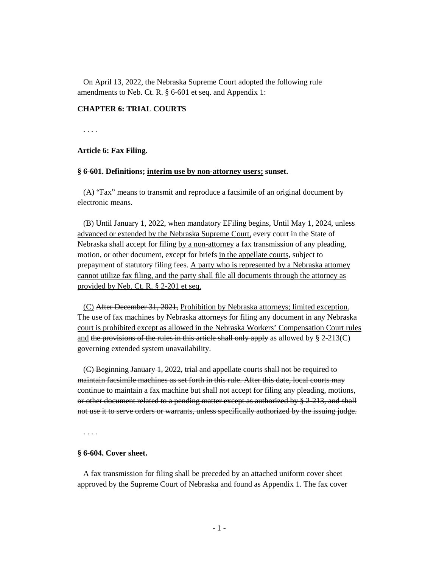On April 13, 2022, the Nebraska Supreme Court adopted the following rule amendments to Neb. Ct. R. § 6-601 et seq. and Appendix 1:

# **CHAPTER 6: TRIAL COURTS**

. . . .

## **Article 6: Fax Filing.**

## **§ 6-601. Definitions; interim use by non-attorney users; sunset.**

(A) "Fax" means to transmit and reproduce a facsimile of an original document by electronic means.

(B) Until January 1, 2022, when mandatory EFiling begins, Until May 1, 2024, unless advanced or extended by the Nebraska Supreme Court, every court in the State of Nebraska shall accept for filing by a non-attorney a fax transmission of any pleading, motion, or other document, except for briefs in the appellate courts, subject to prepayment of statutory filing fees. A party who is represented by a Nebraska attorney cannot utilize fax filing, and the party shall file all documents through the attorney as provided by Neb. Ct. R. § 2-201 et seq.

(C) After December 31, 2021, Prohibition by Nebraska attorneys; limited exception. The use of fax machines by Nebraska attorneys for filing any document in any Nebraska court is prohibited except as allowed in the Nebraska Workers' Compensation Court rules and the provisions of the rules in this article shall only apply as allowed by  $\S 2-213(C)$ governing extended system unavailability.

(C) Beginning January 1, 2022, trial and appellate courts shall not be required to maintain facsimile machines as set forth in this rule. After this date, local courts may continue to maintain a fax machine but shall not accept for filing any pleading, motions, or other document related to a pending matter except as authorized by § 2-213, and shall not use it to serve orders or warrants, unless specifically authorized by the issuing judge.

. . . .

### **§ 6-604. Cover sheet.**

A fax transmission for filing shall be preceded by an attached uniform cover sheet approved by the Supreme Court of Nebraska and found as Appendix 1. The fax cover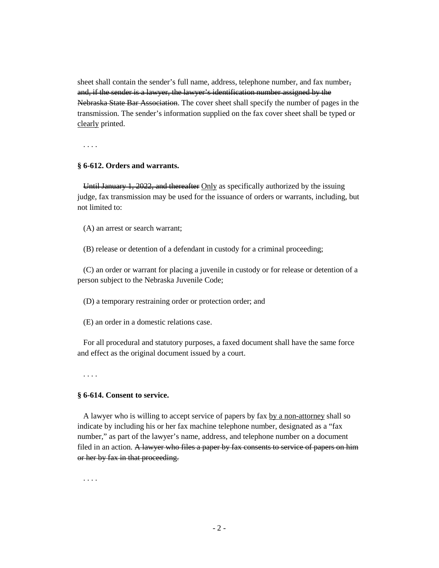sheet shall contain the sender's full name, address, telephone number, and fax number, and, if the sender is a lawyer, the lawyer's identification number assigned by the Nebraska State Bar Association. The cover sheet shall specify the number of pages in the transmission. The sender's information supplied on the fax cover sheet shall be typed or clearly printed.

. . . .

# **§ 6-612. Orders and warrants.**

Until January 1, 2022, and thereafter Only as specifically authorized by the issuing judge, fax transmission may be used for the issuance of orders or warrants, including, but not limited to:

(A) an arrest or search warrant;

(B) release or detention of a defendant in custody for a criminal proceeding;

(C) an order or warrant for placing a juvenile in custody or for release or detention of a person subject to the Nebraska Juvenile Code;

(D) a temporary restraining order or protection order; and

(E) an order in a domestic relations case.

For all procedural and statutory purposes, a faxed document shall have the same force and effect as the original document issued by a court.

. . . .

# **§ 6-614. Consent to service.**

A lawyer who is willing to accept service of papers by fax by a non-attorney shall so indicate by including his or her fax machine telephone number, designated as a "fax number," as part of the lawyer's name, address, and telephone number on a document filed in an action. A lawyer who files a paper by fax consents to service of papers on him or her by fax in that proceeding.

. . . .